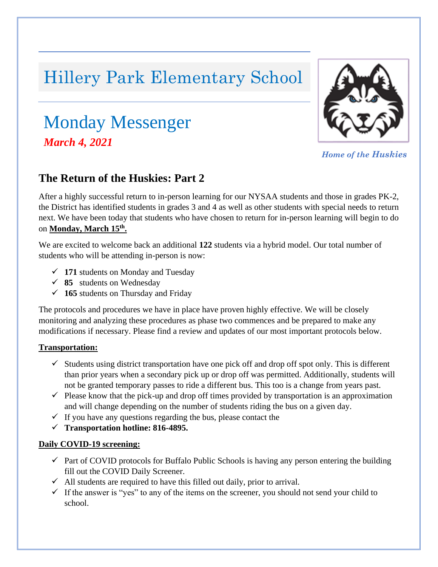# Hillery Park Elementary School

## Monday Messenger *, March 4, 2021*



*Home of the Huskies*

### **The Return of the Huskies: Part 2**

After a highly successful return to in-person learning for our NYSAA students and those in grades PK-2, the District has identified students in grades 3 and 4 as well as other students with special needs to return next. We have been today that students who have chosen to return for in-person learning will begin to do on **Monday, March 15th .**

We are excited to welcome back an additional **122** students via a hybrid model. Our total number of students who will be attending in-person is now:

- ✓ **171** students on Monday and Tuesday
- ✓ **85** students on Wednesday
- ✓ **165** students on Thursday and Friday

The protocols and procedures we have in place have proven highly effective. We will be closely monitoring and analyzing these procedures as phase two commences and be prepared to make any modifications if necessary. Please find a review and updates of our most important protocols below.

#### **Transportation:**

- $\checkmark$  Students using district transportation have one pick off and drop off spot only. This is different than prior years when a secondary pick up or drop off was permitted. Additionally, students will not be granted temporary passes to ride a different bus. This too is a change from years past.
- $\checkmark$  Please know that the pick-up and drop off times provided by transportation is an approximation and will change depending on the number of students riding the bus on a given day.
- $\checkmark$  If you have any questions regarding the bus, please contact the
- ✓ **Transportation hotline: 816-4895.**

#### **Daily COVID-19 screening:**

- $\checkmark$  Part of COVID protocols for Buffalo Public Schools is having any person entering the building fill out the COVID Daily Screener.
- $\checkmark$  All students are required to have this filled out daily, prior to arrival.
- $\checkmark$  If the answer is "yes" to any of the items on the screener, you should not send your child to school.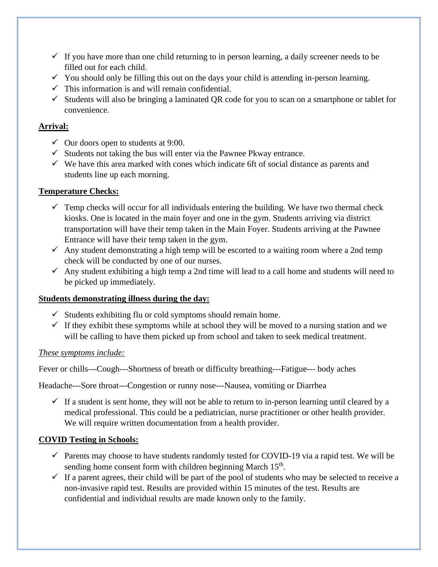- $\checkmark$  If you have more than one child returning to in person learning, a daily screener needs to be filled out for each child.
- $\checkmark$  You should only be filling this out on the days your child is attending in-person learning.
- $\checkmark$  This information is and will remain confidential.
- $\checkmark$  Students will also be bringing a laminated OR code for you to scan on a smartphone or tablet for convenience.

#### **Arrival:**

- $\checkmark$  Our doors open to students at 9:00.
- $\checkmark$  Students not taking the bus will enter via the Pawnee Pkway entrance.
- $\checkmark$  We have this area marked with cones which indicate 6ft of social distance as parents and students line up each morning.

#### **Temperature Checks:**

- $\checkmark$  Temp checks will occur for all individuals entering the building. We have two thermal check kiosks. One is located in the main foyer and one in the gym. Students arriving via district transportation will have their temp taken in the Main Foyer. Students arriving at the Pawnee Entrance will have their temp taken in the gym.
- $\checkmark$  Any student demonstrating a high temp will be escorted to a waiting room where a 2nd temp check will be conducted by one of our nurses.
- $\checkmark$  Any student exhibiting a high temp a 2nd time will lead to a call home and students will need to be picked up immediately.

#### **Students demonstrating illness during the day:**

- $\checkmark$  Students exhibiting flu or cold symptoms should remain home.
- $\checkmark$  If they exhibit these symptoms while at school they will be moved to a nursing station and we will be calling to have them picked up from school and taken to seek medical treatment.

#### *These symptoms include:*

Fever or chills---Cough---Shortness of breath or difficulty breathing---Fatigue--- body aches

Headache---Sore throat---Congestion or runny nose---Nausea, vomiting or Diarrhea

 $\checkmark$  If a student is sent home, they will not be able to return to in-person learning until cleared by a medical professional. This could be a pediatrician, nurse practitioner or other health provider. We will require written documentation from a health provider.

#### **COVID Testing in Schools:**

- $\checkmark$  Parents may choose to have students randomly tested for COVID-19 via a rapid test. We will be sending home consent form with children beginning March  $15<sup>th</sup>$ .
- $\checkmark$  If a parent agrees, their child will be part of the pool of students who may be selected to receive a non-invasive rapid test. Results are provided within 15 minutes of the test. Results are confidential and individual results are made known only to the family.